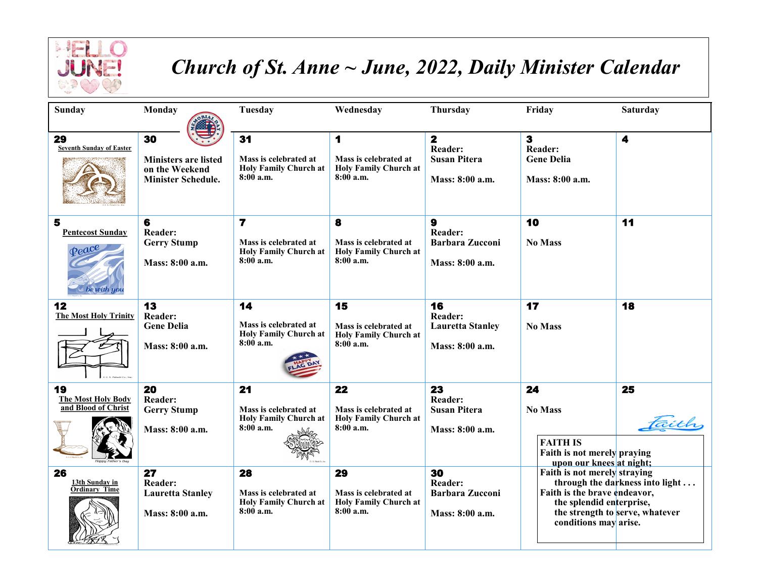

## *Church of St. Anne ~ June, 2022, Daily Minister Calendar*

| Sunday                                                        | Monday                                                                           | Tuesday                                                                                         | Wednesday                                                                  | Thursday                                                                            | Friday                                                                                                            | <b>Saturday</b>                                                    |
|---------------------------------------------------------------|----------------------------------------------------------------------------------|-------------------------------------------------------------------------------------------------|----------------------------------------------------------------------------|-------------------------------------------------------------------------------------|-------------------------------------------------------------------------------------------------------------------|--------------------------------------------------------------------|
| 29<br><b>Seventh Sunday of Easter</b>                         | 30<br><b>Ministers are listed</b><br>on the Weekend<br><b>Minister Schedule.</b> | 31<br>Mass is celebrated at<br><b>Holy Family Church at</b><br>8:00a.m.                         | 1<br>Mass is celebrated at<br><b>Holy Family Church at</b><br>$8:00$ a.m.  | $\overline{\mathbf{z}}$<br><b>Reader:</b><br><b>Susan Pitera</b><br>Mass: 8:00 a.m. | $\overline{\mathbf{3}}$<br><b>Reader:</b><br><b>Gene Delia</b><br>Mass: 8:00 a.m.                                 | 4                                                                  |
| 5<br><b>Pentecost Sunday</b><br>$\varphi$ eace<br>be with you | 6<br><b>Reader:</b><br><b>Gerry Stump</b><br>Mass: 8:00 a.m.                     | $\overline{\mathbf{r}}$<br>Mass is celebrated at<br><b>Holy Family Church at</b><br>$8:00$ a.m. | 8<br>Mass is celebrated at<br><b>Holy Family Church at</b><br>8:00 a.m.    | $\mathbf{9}$<br><b>Reader:</b><br><b>Barbara Zucconi</b><br>Mass: 8:00 a.m.         | 10<br><b>No Mass</b>                                                                                              | 11                                                                 |
| 12<br><b>The Most Holy Trinity</b>                            | 13<br>Reader:<br><b>Gene Delia</b><br>Mass: 8:00 a.m.                            | 14<br>Mass is celebrated at<br><b>Holy Family Church at</b><br>8:00a.m.                         | 15<br>Mass is celebrated at<br><b>Holy Family Church at</b><br>8:00a.m.    | 16<br>Reader:<br><b>Lauretta Stanley</b><br>Mass: 8:00 a.m.                         | 17<br><b>No Mass</b>                                                                                              | 18                                                                 |
| 19<br><b>The Most Holy Body</b><br>and <b>Blood</b> of Christ | 20<br>Reader:<br><b>Gerry Stump</b><br>Mass: 8:00 a.m.                           | 21<br>Mass is celebrated at<br><b>Holy Family Church at</b><br>$8:00$ a.m.                      | 22<br>Mass is celebrated at<br><b>Holy Family Church at</b><br>$8:00$ a.m. | 23<br>Reader:<br><b>Susan Pitera</b><br>Mass: 8:00 a.m.                             | 24<br><b>No Mass</b><br><b>FAITH IS</b><br>Faith is not merely praying<br>upon our knees at night;                | 25                                                                 |
| 26<br>13th Sunday in<br><b>Ordinary Time</b>                  | 27<br><b>Reader:</b><br><b>Lauretta Stanley</b><br>Mass: 8:00 a.m.               | 28<br>Mass is celebrated at<br><b>Holy Family Church at</b><br>$8:00$ a.m.                      | 29<br>Mass is celebrated at<br><b>Holy Family Church at</b><br>8:00 a.m.   | 30<br><b>Reader:</b><br><b>Barbara Zucconi</b><br>Mass: 8:00 a.m.                   | Faith is not merely straying<br>Faith is the brave endeavor,<br>the splendid enterprise,<br>conditions may arise. | through the darkness into light<br>the strength to serve, whatever |